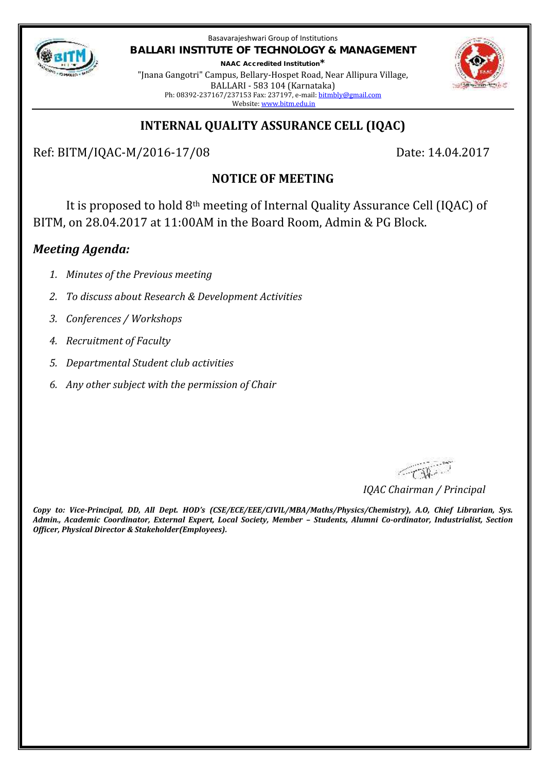

Basavarajeshwari Group of Institutions **BALLARI INSTITUTE OF TECHNOLOGY & MANAGEMENT NAAC Accredited Institution\***

"Jnana Gangotri" Campus, Bellary-Hospet Road, Near Allipura Village, BALLARI - 583 104 (Karnataka) Ph: 08392-237167/237153 Fax: 237197, e-mail: bitmbly@gmail.com Website: www.bitm.edu.in



## **INTERNAL QUALITY ASSURANCE CELL (IQAC)**

Ref: BITM/IQAC-M/2016-17/08 Date: 14.04.2017

# **NOTICE OF MEETING**

It is proposed to hold 8th meeting of Internal Quality Assurance Cell (IQAC) of BITM, on 28.04.2017 at 11:00AM in the Board Room, Admin & PG Block.

## *Meeting Agenda:*

- *1. Minutes of the Previous meeting*
- *2. To discuss about Research & Development Activities*
- *3. Conferences / Workshops*
- *4. Recruitment of Faculty*
- *5. Departmental Student club activities*
- *6. Any other subject with the permission of Chair*

CON.

*IQAC Chairman / Principal*

*Copy to: Vice-Principal, DD, All Dept. HOD's (CSE/ECE/EEE/CIVIL/MBA/Maths/Physics/Chemistry), A.O, Chief Librarian, Sys. Admin., Academic Coordinator, External Expert, Local Society, Member – Students, Alumni Co-ordinator, Industrialist, Section Officer, Physical Director & Stakeholder(Employees).*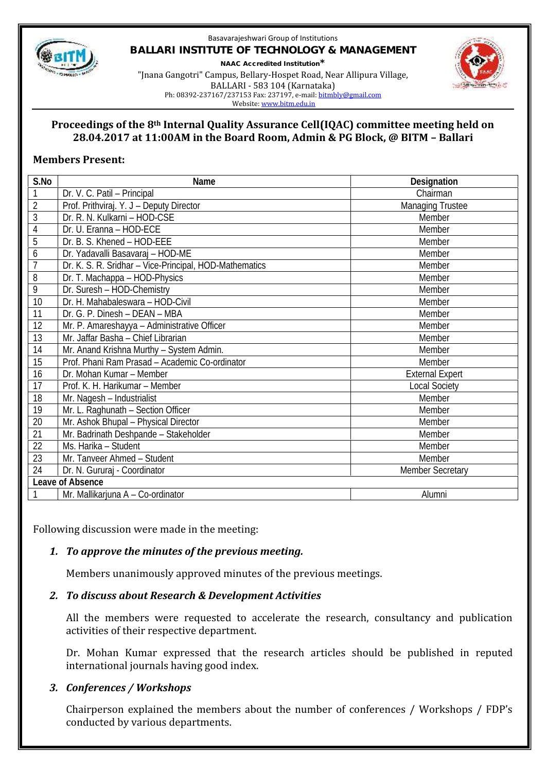

#### Basavarajeshwari Group of Institutions **BALLARI INSTITUTE OF TECHNOLOGY & MANAGEMENT NAAC Accredited Institution\*** "Jnana Gangotri" Campus, Bellary-Hospet Road, Near Allipura Village, BALLARI - 583 104 (Karnataka)



Ph: 08392-237167/237153 Fax: 237197, e-mail: bitmbly@gmail.com

Website: www.bitm.edu.in

#### **Proceedings of the 8th Internal Quality Assurance Cell(IQAC) committee meeting held on 28.04.2017 at 11:00AM in the Board Room, Admin & PG Block, @ BITM – Ballari**

### **Members Present:**

| S.No             | Name                                                   | Designation             |
|------------------|--------------------------------------------------------|-------------------------|
| 1                | Dr. V. C. Patil - Principal                            | Chairman                |
| $\overline{2}$   | Prof. Prithviraj. Y. J - Deputy Director               | <b>Managing Trustee</b> |
| 3                | Dr. R. N. Kulkarni - HOD-CSE                           | Member                  |
| 4                | Dr. U. Eranna - HOD-ECE                                | Member                  |
| 5                | Dr. B. S. Khened - HOD-EEE                             | Member                  |
| 6                | Dr. Yadavalli Basavaraj - HOD-ME                       | Member                  |
| $\overline{1}$   | Dr. K. S. R. Sridhar - Vice-Principal, HOD-Mathematics | Member                  |
| 8                | Dr. T. Machappa - HOD-Physics                          | Member                  |
| 9                | Dr. Suresh - HOD-Chemistry                             | Member                  |
| 10               | Dr. H. Mahabaleswara - HOD-Civil                       | Member                  |
| 11               | Dr. G. P. Dinesh - DEAN - MBA                          | Member                  |
| 12               | Mr. P. Amareshayya - Administrative Officer            | Member                  |
| 13               | Mr. Jaffar Basha - Chief Librarian                     | Member                  |
| 14               | Mr. Anand Krishna Murthy - System Admin.               | Member                  |
| 15               | Prof. Phani Ram Prasad - Academic Co-ordinator         | Member                  |
| 16               | Dr. Mohan Kumar - Member                               | <b>External Expert</b>  |
| 17               | Prof. K. H. Harikumar - Member                         | <b>Local Society</b>    |
| 18               | Mr. Nagesh - Industrialist                             | Member                  |
| 19               | Mr. L. Raghunath - Section Officer                     | Member                  |
| 20               | Mr. Ashok Bhupal - Physical Director                   | Member                  |
| 21               | Mr. Badrinath Deshpande - Stakeholder                  | Member                  |
| 22               | Ms. Harika - Student                                   | Member                  |
| 23               | Mr. Tanveer Ahmed - Student                            | Member                  |
| 24               | Dr. N. Gururaj - Coordinator                           | <b>Member Secretary</b> |
| Leave of Absence |                                                        |                         |
| 1                | Mr. Mallikarjuna A - Co-ordinator                      | Alumni                  |

Following discussion were made in the meeting:

## *1. To approve the minutes of the previous meeting.*

Members unanimously approved minutes of the previous meetings.

### *2. To discuss about Research & Development Activities*

All the members were requested to accelerate the research, consultancy and publication activities of their respective department.

Dr. Mohan Kumar expressed that the research articles should be published in reputed international journals having good index.

## *3. Conferences / Workshops*

Chairperson explained the members about the number of conferences / Workshops / FDP's conducted by various departments.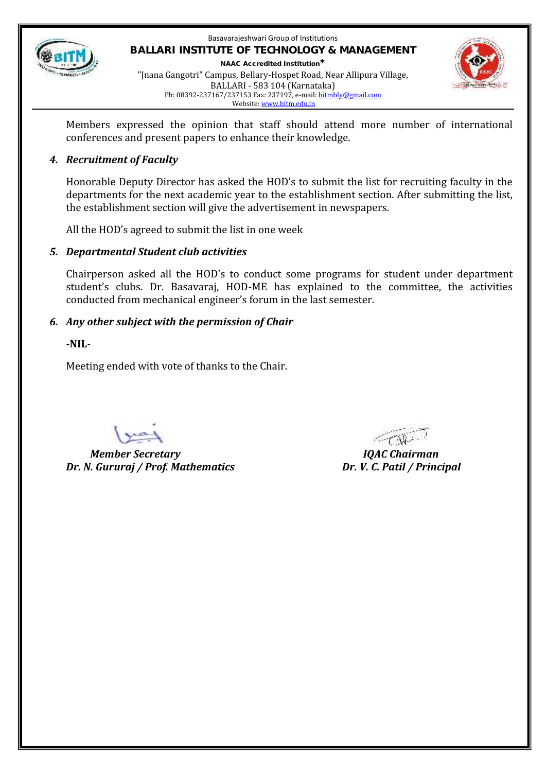

#### Basavarajeshwari Group of Institutions **BALLARI INSTITUTE OF TECHNOLOGY & MANAGEMENT NAAC Accredited Institution\*** "Jnana Gangotri" Campus, Bellary-Hospet Road, Near Allipura Village, BALLARI - 583 104 (Karnataka) Ph: 08392-237167/237153 Fax: 237197, e-mail: bitmbly@gmail.com Website: www.bitm.edu.in



Members expressed the opinion that staff should attend more number of international conferences and present papers to enhance their knowledge.

### *4. Recruitment of Faculty*

Honorable Deputy Director has asked the HOD's to submit the list for recruiting faculty in the departments for the next academic year to the establishment section. After submitting the list, the establishment section will give the advertisement in newspapers.

All the HOD's agreed to submit the list in one week

### *5. Departmental Student club activities*

Chairperson asked all the HOD's to conduct some programs for student under department student's clubs. Dr. Basavaraj, HOD-ME has explained to the committee, the activities conducted from mechanical engineer's forum in the last semester.

### *6. Any other subject with the permission of Chair*

**-NIL-**

Meeting ended with vote of thanks to the Chair.

*Member Secretary IQAC Chairman Dr. N. Gururaj / Prof. Mathematics Dr. V. C. Patil / Principal*